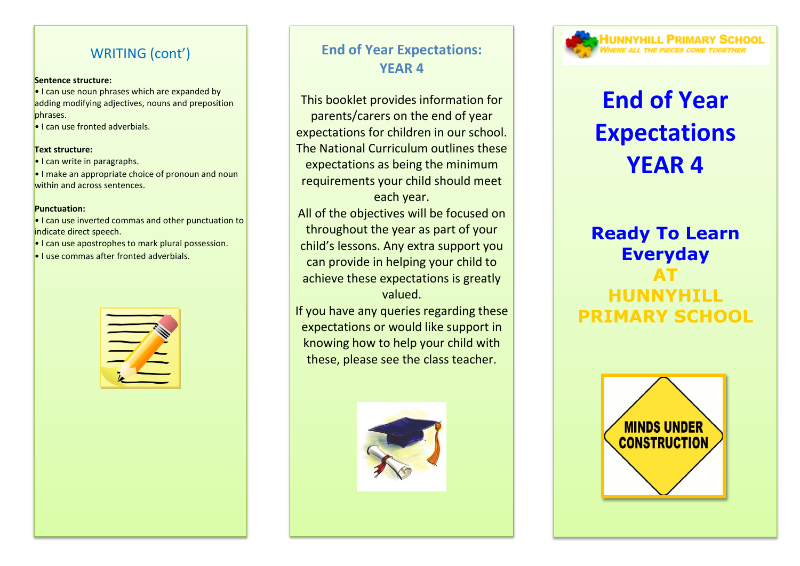## WRITING (cont')

#### **Sentence structure:**

**•** I can use noun phrases which are expanded by adding modifying adjectives, nouns and preposition phrases.

• I can use fronted adverbials.

#### **Text structure:**

• I can write in paragraphs.

• I make an appropriate choice of pronoun and noun within and across sentences.

#### **Punctuation:**

• I can use inverted commas and other punctuation to indicate direct speech.

• I can use apostrophes to mark plural possession.

• I use commas after fronted adverbials.



# **End of Year Expectations: YEAR 4**

This booklet provides information for parents/carers on the end of year expectations for children in our school. The National Curriculum outlines these expectations as being the minimum requirements your child should meet each year.

All of the objectives will be focused on throughout the year as part of your child's lessons. Any extra support you can provide in helping your child to achieve these expectations is greatly valued.

If you have any queries regarding these expectations or would like support in knowing how to help your child with these, please see the class teacher.





# **End of Year Expectations YEAR 4**

# **Ready To Learn Everyday AT HUNNYHILL PRIMARY SCHOOL**